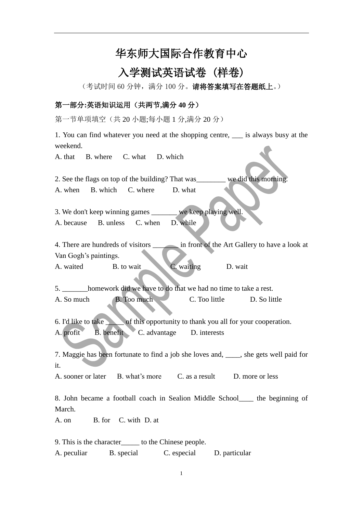# 华东师大国际合作教育中心

# 入学测试英语试卷 (样卷)

(考试时间 60 分钟,满分 100 分。请将答案填写在答题纸上。)

#### 第一部分**:**英语知识运用(共两节**,**满分 **40** 分)

第一节单项填空(共 20 小题;每小题 1 分,满分 20 分)

1. You can find whatever you need at the shopping centre, \_\_\_ is always busy at the weekend.

A. that B. where C. what D. which

2. See the flags on top of the building? That was\_\_\_\_\_\_\_\_ we did this morning. A. when B. which C. where D. what

3. We don't keep winning games \_\_\_\_\_\_\_ we keep playing well. A. because B. unless C. when D. while

4. There are hundreds of visitors \_\_\_\_\_\_\_ in front of the Art Gallery to have a look at Van Gogh's paintings.

A. waited B. to wait C. waiting D. wait

5. \_\_\_\_\_\_\_homework did we have to do that we had no time to take a rest. A. So much B. Too much C. Too little D. So little

6. I'd like to take \_\_\_\_\_ of this opportunity to thank you all for your cooperation. A. profit B. benefit C. advantage D. interests

7. Maggie has been fortunate to find a job she loves and, \_\_\_\_, she gets well paid for it.

A. sooner or later B. what's more C. as a result D. more or less

8. John became a football coach in Sealion Middle School\_\_\_\_ the beginning of March.

A. on B. for C. with D. at

9. This is the character\_\_\_\_\_ to the Chinese people.

A. peculiar B. special C. especial D. particular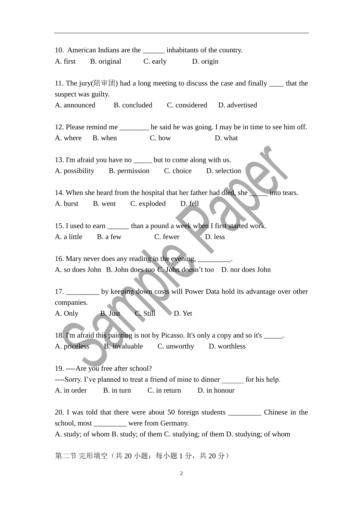10. American Indians are the  $\qquad$  inhabitants of the country. A. first B. original C. early D. origin 11. The jury(陪审团) had a long meeting to discuss the case and finally that the suspect was guilty. A. announced B. concluded C. considered D. advertised 12. Please remind me \_\_\_\_\_\_\_\_ he said he was going. I may be in time to see him off. A. where B. when C. how D. what 13. I'm afraid you have no but to come along with us. A. possibility B. permission C. choice D. selection 14. When she heard from the hospital that her father had died, she into tears. A. burst B. went C. exploded D. fell 15. I used to earn \_\_\_\_\_\_\_ than a pound a week when I first started work. A. a little B. a few C. fewer D. less 16. Mary never does any reading in the evening,  $\overline{\phantom{a}}$ A. so does John B. John does too C. John doesn't too D. nor does John 17. \_\_\_\_\_\_\_\_\_ by keeping down costs will Power Data hold its advantage over other companies. A. Only B. Just C. Still D. Yet 18. I'm afraid this painting is not by Picasso. It's only a copy and so it's \_\_\_\_\_. A. priceless B. invaluable C. unworthy D. worthless 19. ----Are you free after school? ----Sorry. I've planned to treat a friend of mine to dinner for his help. A. in order B. in turn C. in return D. in honour 20. I was told that there were about 50 foreign students \_\_\_\_\_\_\_\_\_ Chinese in the school, most were from Germany. A. study; of whom B. study; of them C. studying; of them D. studying; of whom

第二节 完形填空(共20小题;每小题 1分,共20分)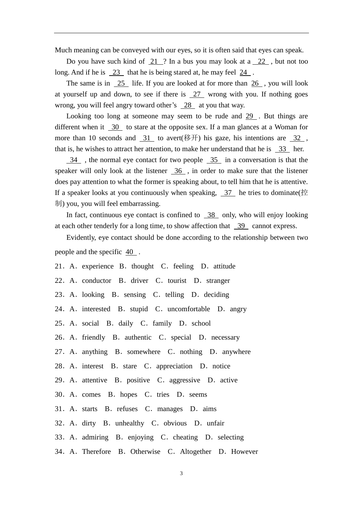Much meaning can be conveyed with our eyes, so it is often said that eyes can speak.

Do you have such kind of 21 ? In a bus you may look at a 22 , but not too long. And if he is  $\frac{23}{4}$  that he is being stared at, he may feel  $\frac{24}{4}$ .

The same is in  $25$  life. If you are looked at for more than  $26$ , you will look at yourself up and down, to see if there is 27 wrong with you. If nothing goes wrong, you will feel angry toward other's 28 at you that way.

Looking too long at someone may seem to be rude and 29 . But things are different when it 30 to stare at the opposite sex. If a man glances at a Woman for more than 10 seconds and 31 to avert( $\mathscr{E}$ ) his gaze, his intentions are 32, that is, he wishes to attract her attention, to make her understand that he is  $\frac{33}{10}$  her.

 $\frac{34}{10}$ , the normal eye contact for two people  $\frac{35}{10}$  in a conversation is that the speaker will only look at the listener 36 , in order to make sure that the listener does pay attention to what the former is speaking about, to tell him that he is attentive. If a speaker looks at you continuously when speaking,  $37$  he tries to dominate( $\hat{\mathbb{E}}$ ) 制) you, you will feel embarrassing.

In fact, continuous eye contact is confined to  $\frac{38}{36}$  only, who will enjoy looking at each other tenderly for a long time, to show affection that 39 cannot express.

Evidently, eye contact should be done according to the relationship between two people and the specific 40 .

- 21. A. experience B. thought C. feeling D. attitude
- 22. A. conductor B. driver C. tourist D. stranger
- 23. A. looking B. sensing C. telling D. deciding
- 24. A. interested B. stupid C. uncomfortable D. angry
- 25.A.social B.daily C.family D.school
- 26. A. friendly B. authentic C. special D. necessary
- 27. A. anything B. somewhere C. nothing D. anywhere
- 28. A. interest B. stare C. appreciation D. notice
- 29. A. attentive B. positive C. aggressive D. active
- 30. A. comes B. hopes C. tries D. seems
- 31. A. starts B. refuses C. manages D. aims
- 32. A. dirty B. unhealthy C. obvious D. unfair
- 33. A. admiring B. enjoying C. cheating D. selecting
- 34. A. Therefore B. Otherwise C. Altogether D. However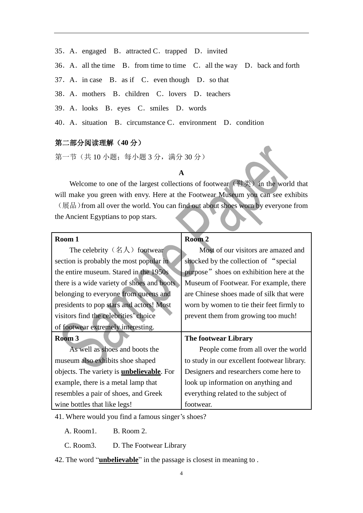- 35. A. engaged B. attracted C. trapped D. invited
- 36. A. all the time B. from time to time C. all the way D. back and forth
- 37. A. in case B. as if C. even though D. so that
- 38. A. mothers B. children C. lovers D. teachers
- 39.A.looks B.eyes C.smiles D.words
- 40. A. situation B. circumstance C. environment D. condition

#### 第二部分阅读理解(**40** 分)

第一节(共 10 小题;每小题 3 分,满分 30 分)

#### **A**

Welcome to one of the largest collections of footwear (鞋类) in the world that will make you green with envy. Here at the Footwear Museum you can see exhibits (展品)from all over the world. You can find out about shoes worn by everyone from the Ancient Egyptians to pop stars.

| Room <sub>2</sub>                           |
|---------------------------------------------|
| Most of our visitors are amazed and         |
| shocked by the collection of "special"      |
| purpose" shoes on exhibition here at the    |
| Museum of Footwear. For example, there      |
| are Chinese shoes made of silk that were    |
| worn by women to tie their feet firmly to   |
| prevent them from growing too much!         |
|                                             |
| The footwear Library                        |
| People come from all over the world         |
| to study in our excellent footwear library. |
| Designers and researchers come here to      |
| look up information on anything and         |
| everything related to the subject of        |
| footwear.                                   |
|                                             |

41. Where would you find a famous singer's shoes?

A. Room1. B. Room 2.

C. Room3. D. The Footwear Library

42. The word "**unbelievable**" in the passage is closest in meaning to .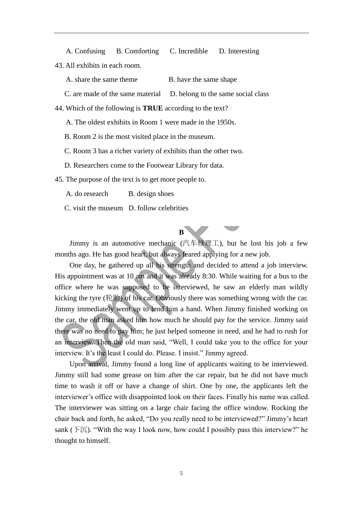A. Confusing B. Comforting C. Incredible D. Interesting 43. All exhibits in each room.

A. share the same theme B. have the same shape

C. are made of the same material D. belong to the same social class

44. Which of the following is **TRUE** according to the text?

A. The oldest exhibits in Room 1 were made in the 1950s.

B. Room 2 is the most visited place in the museum.

C. Room 3 has a richer variety of exhibits than the other two.

D. Researchers come to the Footwear Library for data.

45. The purpose of the text is to get more people to.

A. do research B. design shoes

C. visit the museum D. follow celebrities

### **B**

Jimmy is an automotive mechanic (汽车修理工), but he lost his job a few months ago. He has good heart, but always feared applying for a new job.

One day, he gathered up all his strength and decided to attend a job interview. His appointment was at 10 am and it was already 8:30. While waiting for a bus to the office where he was supposed to be interviewed, he saw an elderly man wildly kicking the tyre (轮胎) of his car. Obviously there was something wrong with the car. Jimmy immediately went up to lend him a hand. When Jimmy finished working on the car, the old man asked him how much he should pay for the service. Jimmy said there was no need to pay him; he just helped someone in need, and he had to rush for an interview. Then the old man said, "Well, I could take you to the office for your interview. It's the least I could do. Please. I insist." Jimmy agreed.

Upon arrival, Jimmy found a long line of applicants waiting to be interviewed. Jimmy still had some grease on him after the car repair, but he did not have much time to wash it off or have a change of shirt. One by one, the applicants left the interviewer's office with disappointed look on their faces. Finally his name was called. The interviewer was sitting on a large chair facing the office window. Rocking the chair back and forth, he asked, "Do you really need to be interviewed?" Jimmy's heart sank ( $\overline{F} \overline{\mathcal{U}}$ ). "With the way I look now, how could I possibly pass this interview?" he thought to himself.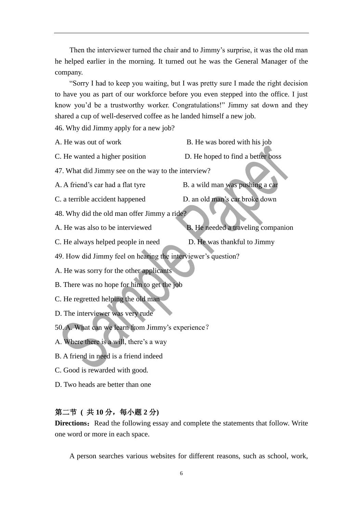Then the interviewer turned the chair and to Jimmy's surprise, it was the old man he helped earlier in the morning. It turned out he was the General Manager of the company.

"Sorry I had to keep you waiting, but I was pretty sure I made the right decision to have you as part of our workforce before you even stepped into the office. I just know you'd be a trustworthy worker. Congratulations!" Jimmy sat down and they shared a cup of well-deserved coffee as he landed himself a new job.

46. Why did Jimmy apply for a new job?

- A. He was out of work B. He was bored with his job
- C. He wanted a higher position D. He hoped to find a better boss
- 47. What did Jimmy see on the way to the interview?

A. A friend's car had a flat tyre B. a wild man was pushing a car

- C. a terrible accident happened D. an old man's car broke down
- 48. Why did the old man offer Jimmy a ride?
- A. He was also to be interviewed B. He needed a traveling companion
- C. He always helped people in need D. He was thankful to Jimmy

- 
- 49. How did Jimmy feel on hearing the interviewer's question?
- A. He was sorry for the other applicants
- B. There was no hope for him to get the job
- C. He regretted helping the old man
- D. The interviewer was very rude
- 50. A. What can we learn from Jimmy's experience?
- A. Where there is a will, there's a way
- B. A friend in need is a friend indeed
- C. Good is rewarded with good.
- D. Two heads are better than one

## 第二节 **(** 共 **10** 分,每小题 **2** 分**)**

**Directions:** Read the following essay and complete the statements that follow. Write one word or more in each space.

A person searches various websites for different reasons, such as school, work,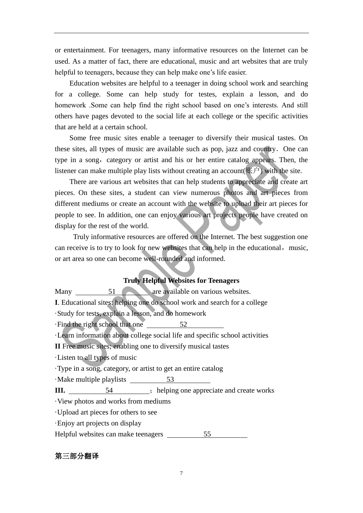or entertainment. For teenagers, many informative resources on the Internet can be used. As a matter of fact, there are educational, music and art websites that are truly helpful to teenagers, because they can help make one's life easier.

Education websites are helpful to a teenager in doing school work and searching for a college. Some can help study for testes, explain a lesson, and do homework .Some can help find the right school based on one's interests. And still others have pages devoted to the social life at each college or the specific activities that are held at a certain school.

 Some free music sites enable a teenager to diversify their musical tastes. On these sites, all types of music are available such as pop, jazz and country. One can type in a song, category or artist and his or her entire catalog appears. Then, the listener can make multiple play lists without creating an account  $(\mathbb{R}^d)$  with the site.

 There are various art websites that can help students to appreciate and create art pieces. On these sites, a student can view numerous photos and art pieces from different mediums or create an account with the website to upload their art pieces for people to see. In addition, one can enjoy various art projects people have created on display for the rest of the world.

 Truly informative resources are offered on the Internet. The best suggestion one can receive is to try to look for new websites that can help in the educational, music, or art area so one can become well-rounded and informed.

#### **Truly Helpful Websites for Teenagers**

| Many $51$                           | are available on various websites.                                               |
|-------------------------------------|----------------------------------------------------------------------------------|
|                                     | <b>I.</b> Educational sites: helping one do school work and search for a college |
|                                     | Study for tests, explain a lesson, and do homework                               |
|                                     | Find the right school that one 52                                                |
|                                     | Learn information about college social life and specific school activities       |
|                                     | II Free music sites; enabling one to diversify musical tastes                    |
| Listen to all types of music        |                                                                                  |
|                                     | Type in a song, category, or artist to get an entire catalog                     |
| Make multiple playlists 53          |                                                                                  |
|                                     |                                                                                  |
| View photos and works from mediums  |                                                                                  |
| Upload art pieces for others to see |                                                                                  |
| Enjoy art projects on display       |                                                                                  |
| Helpful websites can make teenagers | 55                                                                               |

#### 第三部分翻译